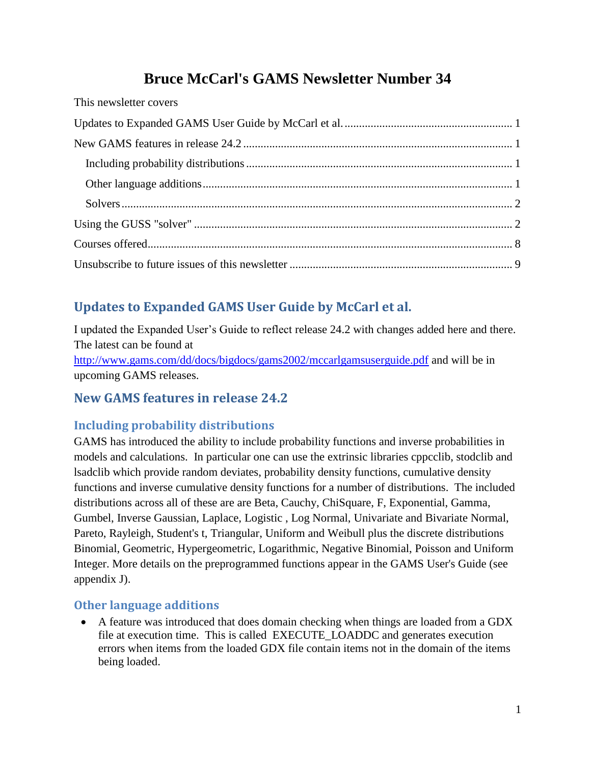# **Bruce McCarl's GAMS Newsletter Number 34**

| This newsletter covers |  |
|------------------------|--|
|                        |  |
|                        |  |
|                        |  |
|                        |  |
|                        |  |
|                        |  |
|                        |  |
|                        |  |
|                        |  |

# <span id="page-0-0"></span>**Updates to Expanded GAMS User Guide by McCarl et al.**

I updated the Expanded User's Guide to reflect release 24.2 with changes added here and there. The latest can be found at

<http://www.gams.com/dd/docs/bigdocs/gams2002/mccarlgamsuserguide.pdf> and will be in upcoming GAMS releases.

# <span id="page-0-1"></span>**New GAMS features in release 24.2**

# <span id="page-0-2"></span>**Including probability distributions**

GAMS has introduced the ability to include probability functions and inverse probabilities in models and calculations. In particular one can use the extrinsic libraries cppcclib, stodclib and lsadclib which provide random deviates, probability density functions, cumulative density functions and inverse cumulative density functions for a number of distributions. The included distributions across all of these are are Beta, Cauchy, ChiSquare, F, Exponential, Gamma, Gumbel, Inverse Gaussian, Laplace, Logistic , Log Normal, Univariate and Bivariate Normal, Pareto, Rayleigh, Student's t, Triangular, Uniform and Weibull plus the discrete distributions Binomial, Geometric, Hypergeometric, Logarithmic, Negative Binomial, Poisson and Uniform Integer. More details on the preprogrammed functions appear in the GAMS User's Guide (see appendix J).

# <span id="page-0-3"></span>**Other language additions**

 A feature was introduced that does domain checking when things are loaded from a GDX file at execution time. This is called EXECUTE\_LOADDC and generates execution errors when items from the loaded GDX file contain items not in the domain of the items being loaded.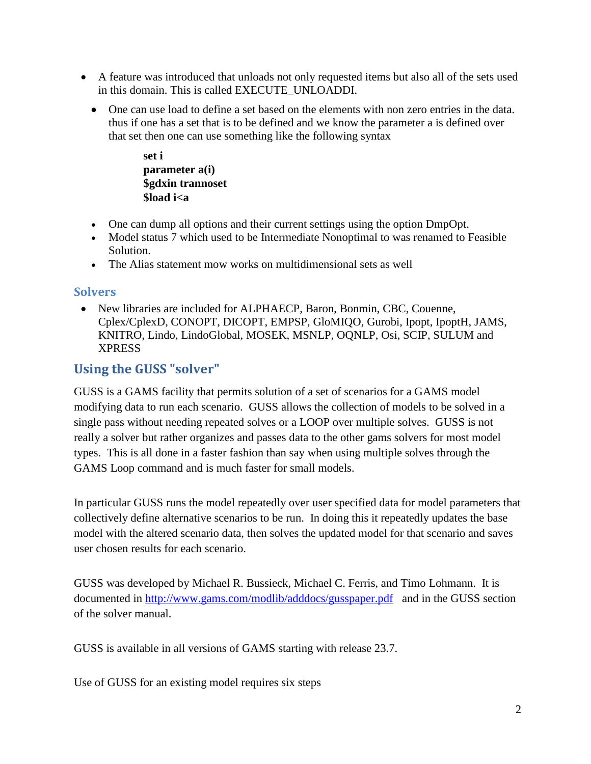- A feature was introduced that unloads not only requested items but also all of the sets used in this domain. This is called EXECUTE\_UNLOADDI.
	- One can use load to define a set based on the elements with non zero entries in the data. thus if one has a set that is to be defined and we know the parameter a is defined over that set then one can use something like the following syntax

**set i parameter a(i) \$gdxin trannoset \$load i<a**

- One can dump all options and their current settings using the option DmpOpt.
- Model status 7 which used to be Intermediate Nonoptimal to was renamed to Feasible Solution.
- The Alias statement mow works on multidimensional sets as well

### <span id="page-1-0"></span>**Solvers**

 New libraries are included for ALPHAECP, Baron, Bonmin, CBC, Couenne, Cplex/CplexD, CONOPT, DICOPT, EMPSP, GloMIQO, Gurobi, Ipopt, IpoptH, JAMS, KNITRO, Lindo, LindoGlobal, MOSEK, MSNLP, OQNLP, Osi, SCIP, SULUM and XPRESS

# <span id="page-1-1"></span>**Using the GUSS "solver"**

GUSS is a GAMS facility that permits solution of a set of scenarios for a GAMS model modifying data to run each scenario. GUSS allows the collection of models to be solved in a single pass without needing repeated solves or a LOOP over multiple solves. GUSS is not really a solver but rather organizes and passes data to the other gams solvers for most model types. This is all done in a faster fashion than say when using multiple solves through the GAMS Loop command and is much faster for small models.

In particular GUSS runs the model repeatedly over user specified data for model parameters that collectively define alternative scenarios to be run. In doing this it repeatedly updates the base model with the altered scenario data, then solves the updated model for that scenario and saves user chosen results for each scenario.

GUSS was developed by Michael R. Bussieck, Michael C. Ferris, and Timo Lohmann. It is documented in<http://www.gams.com/modlib/adddocs/gusspaper.pdf> and in the GUSS section of the solver manual.

GUSS is available in all versions of GAMS starting with release 23.7.

Use of GUSS for an existing model requires six steps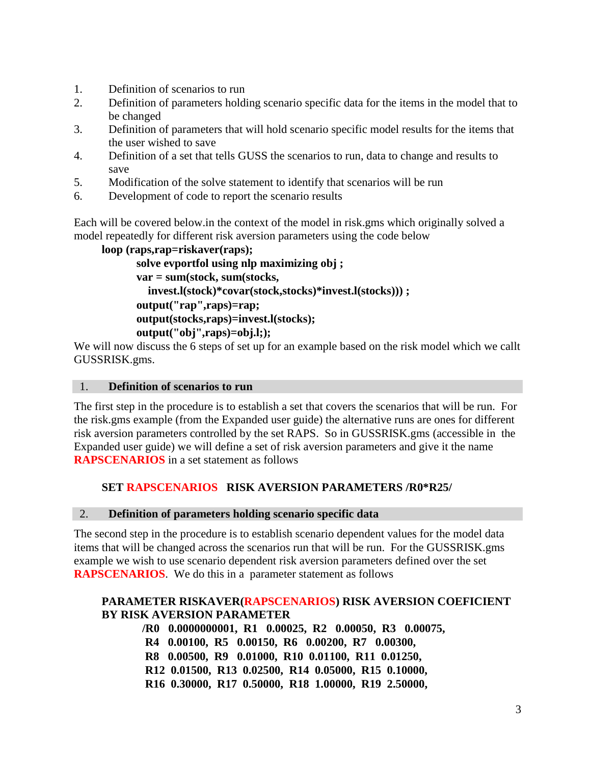- 1. Definition of scenarios to run
- 2. Definition of parameters holding scenario specific data for the items in the model that to be changed
- 3. Definition of parameters that will hold scenario specific model results for the items that the user wished to save
- 4. Definition of a set that tells GUSS the scenarios to run, data to change and results to save
- 5. Modification of the solve statement to identify that scenarios will be run
- 6. Development of code to report the scenario results

Each will be covered below.in the context of the model in risk.gms which originally solved a model repeatedly for different risk aversion parameters using the code below

```
loop (raps,rap=riskaver(raps);
solve evportfol using nlp maximizing obj ;
var = sum(stock, sum(stocks,
  invest.l(stock)*covar(stock,stocks)*invest.l(stocks))) ;
output("rap",raps)=rap;
output(stocks,raps)=invest.l(stocks);
output("obj",raps)=obj.l;);
```
We will now discuss the 6 steps of set up for an example based on the risk model which we callt GUSSRISK.gms.

#### 1. **Definition of scenarios to run**

The first step in the procedure is to establish a set that covers the scenarios that will be run. For the risk.gms example (from the Expanded user guide) the alternative runs are ones for different risk aversion parameters controlled by the set RAPS. So in GUSSRISK.gms (accessible in the Expanded user guide) we will define a set of risk aversion parameters and give it the name **RAPSCENARIOS** in a set statement as follows

### **SET RAPSCENARIOS RISK AVERSION PARAMETERS /R0\*R25/**

#### 2. **Definition of parameters holding scenario specific data**

The second step in the procedure is to establish scenario dependent values for the model data items that will be changed across the scenarios run that will be run. For the GUSSRISK.gms example we wish to use scenario dependent risk aversion parameters defined over the set **RAPSCENARIOS**. We do this in a parameter statement as follows

### **PARAMETER RISKAVER(RAPSCENARIOS) RISK AVERSION COEFICIENT BY RISK AVERSION PARAMETER**

 **/R0 0.0000000001, R1 0.00025, R2 0.00050, R3 0.00075, R4 0.00100, R5 0.00150, R6 0.00200, R7 0.00300, R8 0.00500, R9 0.01000, R10 0.01100, R11 0.01250, R12 0.01500, R13 0.02500, R14 0.05000, R15 0.10000, R16 0.30000, R17 0.50000, R18 1.00000, R19 2.50000,**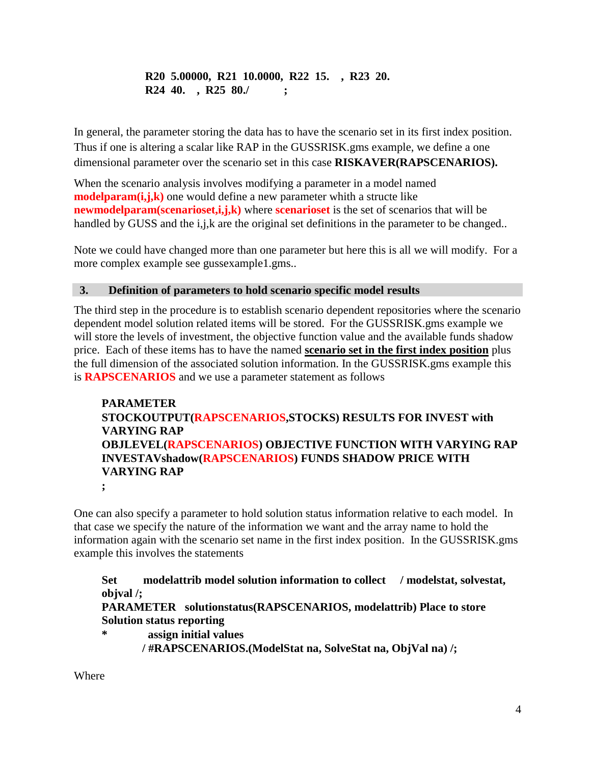## **R20 5.00000, R21 10.0000, R22 15. , R23 20. R24 40. , R25 80./ ;**

In general, the parameter storing the data has to have the scenario set in its first index position. Thus if one is altering a scalar like RAP in the GUSSRISK.gms example, we define a one dimensional parameter over the scenario set in this case **RISKAVER(RAPSCENARIOS).**

When the scenario analysis involves modifying a parameter in a model named **modelparam(i,j,k)** one would define a new parameter whith a structe like **newmodelparam(scenarioset,i,j,k)** where **scenarioset** is the set of scenarios that will be handled by GUSS and the i,j,k are the original set definitions in the parameter to be changed..

Note we could have changed more than one parameter but here this is all we will modify. For a more complex example see gussexample1.gms..

### **3. Definition of parameters to hold scenario specific model results**

The third step in the procedure is to establish scenario dependent repositories where the scenario dependent model solution related items will be stored. For the GUSSRISK.gms example we will store the levels of investment, the objective function value and the available funds shadow price. Each of these items has to have the named **scenario set in the first index position** plus the full dimension of the associated solution information. In the GUSSRISK.gms example this is **RAPSCENARIOS** and we use a parameter statement as follows

# **PARAMETER STOCKOUTPUT(RAPSCENARIOS,STOCKS) RESULTS FOR INVEST with VARYING RAP OBJLEVEL(RAPSCENARIOS) OBJECTIVE FUNCTION WITH VARYING RAP INVESTAVshadow(RAPSCENARIOS) FUNDS SHADOW PRICE WITH VARYING RAP**

**;**

One can also specify a parameter to hold solution status information relative to each model. In that case we specify the nature of the information we want and the array name to hold the information again with the scenario set name in the first index position. In the GUSSRISK.gms example this involves the statements

**Set modelattrib model solution information to collect / modelstat, solvestat, objval /;**

## **PARAMETER solutionstatus(RAPSCENARIOS, modelattrib) Place to store Solution status reporting**

**\* assign initial values / #RAPSCENARIOS.(ModelStat na, SolveStat na, ObjVal na) /;**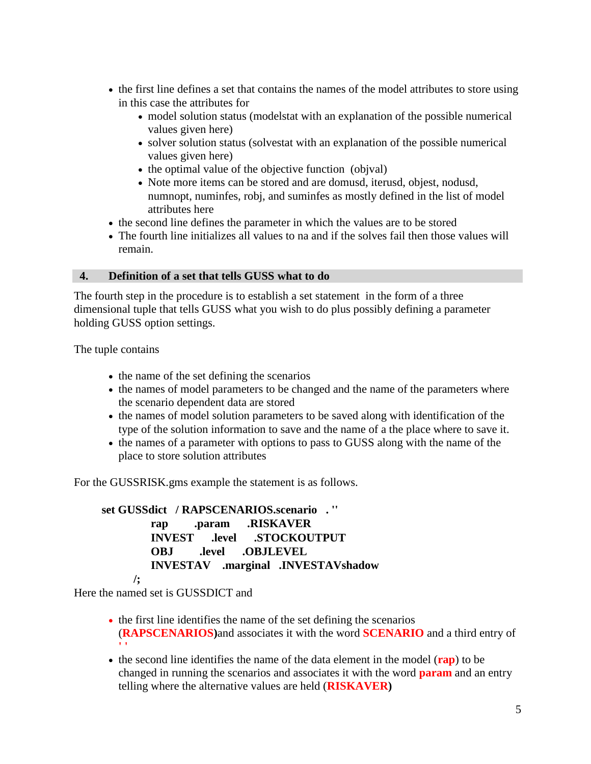- the first line defines a set that contains the names of the model attributes to store using in this case the attributes for
	- model solution status (modelstat with an explanation of the possible numerical values given here)
	- solver solution status (solvestat with an explanation of the possible numerical values given here)
	- $\bullet$  the optimal value of the objective function (objval)
	- Note more items can be stored and are domusd, iterusd, objest, nodusd, numnopt, numinfes, robj, and suminfes as mostly defined in the list of model attributes here
- the second line defines the parameter in which the values are to be stored
- The fourth line initializes all values to na and if the solves fail then those values will remain.

#### **4. Definition of a set that tells GUSS what to do**

The fourth step in the procedure is to establish a set statement in the form of a three dimensional tuple that tells GUSS what you wish to do plus possibly defining a parameter holding GUSS option settings.

The tuple contains

- the name of the set defining the scenarios
- the names of model parameters to be changed and the name of the parameters where the scenario dependent data are stored
- the names of model solution parameters to be saved along with identification of the type of the solution information to save and the name of a the place where to save it.
- the names of a parameter with options to pass to GUSS along with the name of the place to store solution attributes

For the GUSSRISK.gms example the statement is as follows.

**set GUSSdict / RAPSCENARIOS.scenario . '' rap .param .RISKAVER INVEST .level .STOCKOUTPUT OBJ .level .OBJLEVEL INVESTAV .marginal .INVESTAVshadow /;**

Here the named set is GUSSDICT and

- the first line identifies the name of the set defining the scenarios (**RAPSCENARIOS)**and associates it with the word **SCENARIO** and a third entry of **' '**
- the second line identifies the name of the data element in the model (**rap**) to be changed in running the scenarios and associates it with the word **param** and an entry telling where the alternative values are held (**RISKAVER)**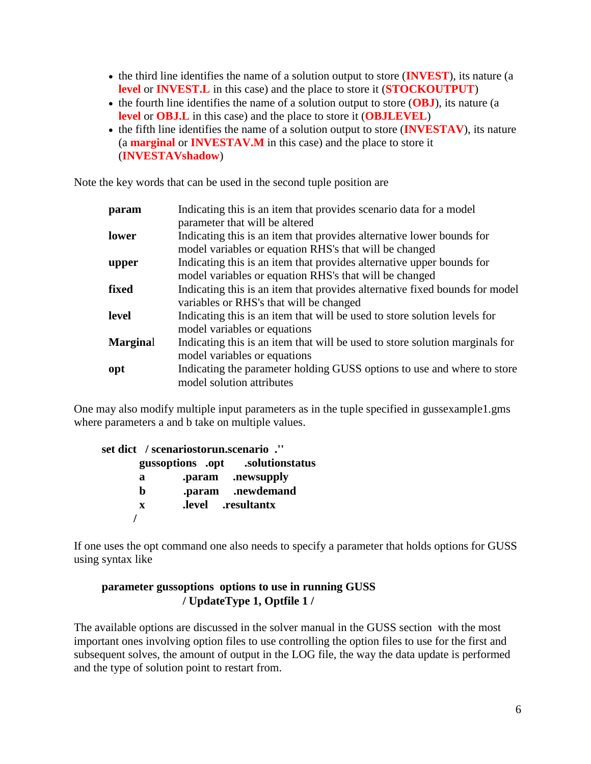- the third line identifies the name of a solution output to store (**INVEST**), its nature (a **level** or **INVEST.L** in this case) and the place to store it (**STOCKOUTPUT**)
- the fourth line identifies the name of a solution output to store (OBJ), its nature (a **level** or **OBJ.L** in this case) and the place to store it (**OBJLEVEL**)
- the fifth line identifies the name of a solution output to store (**INVESTAV**), its nature (a **marginal** or **INVESTAV.M** in this case) and the place to store it (**INVESTAVshadow**)

Note the key words that can be used in the second tuple position are

| param           | Indicating this is an item that provides scenario data for a model<br>parameter that will be altered                            |  |  |  |  |  |
|-----------------|---------------------------------------------------------------------------------------------------------------------------------|--|--|--|--|--|
| lower           | Indicating this is an item that provides alternative lower bounds for<br>model variables or equation RHS's that will be changed |  |  |  |  |  |
| upper           | Indicating this is an item that provides alternative upper bounds for<br>model variables or equation RHS's that will be changed |  |  |  |  |  |
| fixed           | Indicating this is an item that provides alternative fixed bounds for model<br>variables or RHS's that will be changed          |  |  |  |  |  |
| level           | Indicating this is an item that will be used to store solution levels for<br>model variables or equations                       |  |  |  |  |  |
| <b>Marginal</b> | Indicating this is an item that will be used to store solution marginals for<br>model variables or equations                    |  |  |  |  |  |
| opt             | Indicating the parameter holding GUSS options to use and where to store<br>model solution attributes                            |  |  |  |  |  |

One may also modify multiple input parameters as in the tuple specified in gussexample1.gms where parameters a and b take on multiple values.

| set dict / scenariostorun.scenario ." |  |  |                                  |  |
|---------------------------------------|--|--|----------------------------------|--|
|                                       |  |  | gussoptions .opt .solutionstatus |  |
| a                                     |  |  | .param .newsupply                |  |
| h                                     |  |  | .param .newdemand                |  |
| $\mathbf{x}$                          |  |  | level resultantx.                |  |
|                                       |  |  |                                  |  |

If one uses the opt command one also needs to specify a parameter that holds options for GUSS using syntax like

### **parameter gussoptions options to use in running GUSS / UpdateType 1, Optfile 1 /**

The available options are discussed in the solver manual in the GUSS section with the most important ones involving option files to use controlling the option files to use for the first and subsequent solves, the amount of output in the LOG file, the way the data update is performed and the type of solution point to restart from.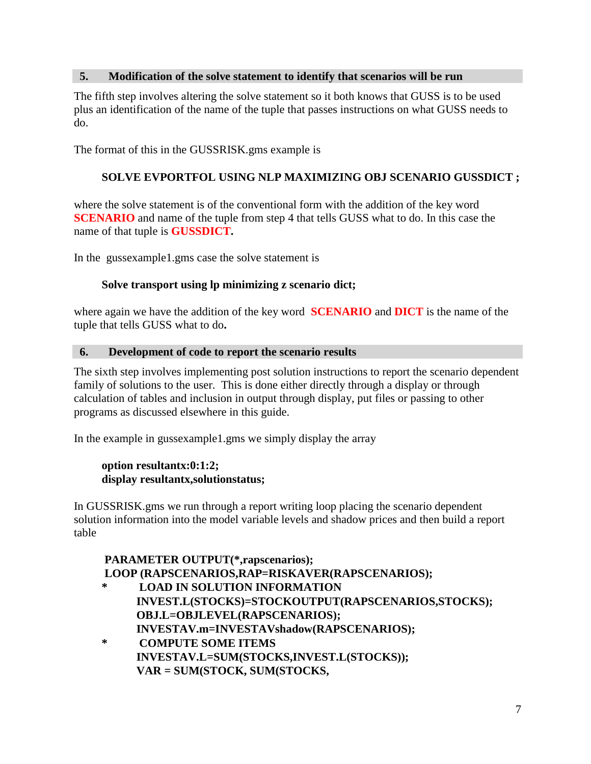#### **5. Modification of the solve statement to identify that scenarios will be run**

The fifth step involves altering the solve statement so it both knows that GUSS is to be used plus an identification of the name of the tuple that passes instructions on what GUSS needs to do.

The format of this in the GUSSRISK.gms example is

### **SOLVE EVPORTFOL USING NLP MAXIMIZING OBJ SCENARIO GUSSDICT ;**

where the solve statement is of the conventional form with the addition of the key word **SCENARIO** and name of the tuple from step 4 that tells GUSS what to do. In this case the name of that tuple is **GUSSDICT.**

In the gussexample1.gms case the solve statement is

#### **Solve transport using lp minimizing z scenario dict;**

where again we have the addition of the key word **SCENARIO** and **DICT** is the name of the tuple that tells GUSS what to do**.**

#### **6. Development of code to report the scenario results**

The sixth step involves implementing post solution instructions to report the scenario dependent family of solutions to the user. This is done either directly through a display or through calculation of tables and inclusion in output through display, put files or passing to other programs as discussed elsewhere in this guide.

In the example in gussexample1.gms we simply display the array

#### **option resultantx:0:1:2; display resultantx,solutionstatus;**

In GUSSRISK.gms we run through a report writing loop placing the scenario dependent solution information into the model variable levels and shadow prices and then build a report table

# **PARAMETER OUTPUT(\*,rapscenarios); LOOP (RAPSCENARIOS,RAP=RISKAVER(RAPSCENARIOS);**

- **\* LOAD IN SOLUTION INFORMATION INVEST.L(STOCKS)=STOCKOUTPUT(RAPSCENARIOS,STOCKS); OBJ.L=OBJLEVEL(RAPSCENARIOS); INVESTAV.m=INVESTAVshadow(RAPSCENARIOS);**
- **\* COMPUTE SOME ITEMS INVESTAV.L=SUM(STOCKS,INVEST.L(STOCKS)); VAR = SUM(STOCK, SUM(STOCKS,**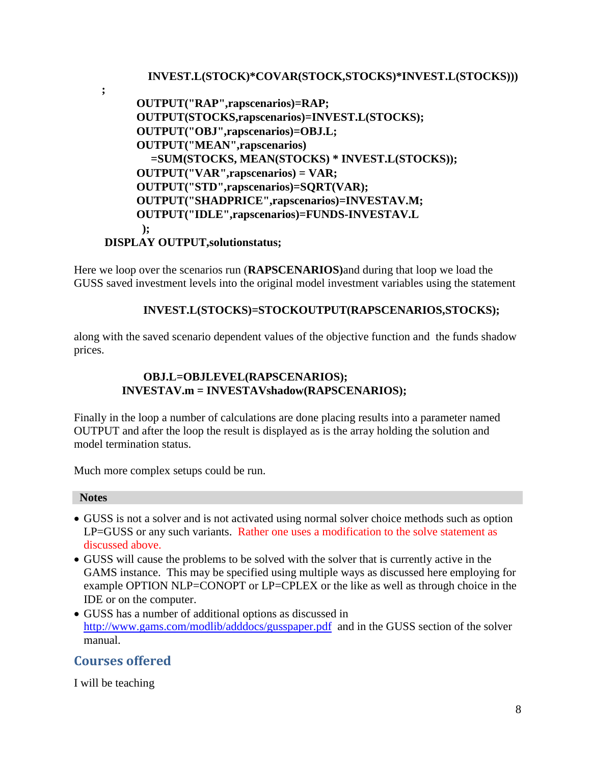### **INVEST.L(STOCK)\*COVAR(STOCK,STOCKS)\*INVEST.L(STOCKS)))**

 **OUTPUT("RAP",rapscenarios)=RAP; OUTPUT(STOCKS,rapscenarios)=INVEST.L(STOCKS); OUTPUT("OBJ",rapscenarios)=OBJ.L; OUTPUT("MEAN",rapscenarios) =SUM(STOCKS, MEAN(STOCKS) \* INVEST.L(STOCKS)); OUTPUT("VAR",rapscenarios) = VAR; OUTPUT("STD",rapscenarios)=SQRT(VAR); OUTPUT("SHADPRICE",rapscenarios)=INVESTAV.M; OUTPUT("IDLE",rapscenarios)=FUNDS-INVESTAV.L ); DISPLAY OUTPUT,solutionstatus;**

Here we loop over the scenarios run (**RAPSCENARIOS)**and during that loop we load the GUSS saved investment levels into the original model investment variables using the statement

### **INVEST.L(STOCKS)=STOCKOUTPUT(RAPSCENARIOS,STOCKS);**

along with the saved scenario dependent values of the objective function and the funds shadow prices.

### **OBJ.L=OBJLEVEL(RAPSCENARIOS); INVESTAV.m = INVESTAVshadow(RAPSCENARIOS);**

Finally in the loop a number of calculations are done placing results into a parameter named OUTPUT and after the loop the result is displayed as is the array holding the solution and model termination status.

Much more complex setups could be run.

#### **Notes**

**;**

- GUSS is not a solver and is not activated using normal solver choice methods such as option LP=GUSS or any such variants. Rather one uses a modification to the solve statement as discussed above.
- GUSS will cause the problems to be solved with the solver that is currently active in the GAMS instance. This may be specified using multiple ways as discussed here employing for example OPTION NLP=CONOPT or LP=CPLEX or the like as well as through choice in the IDE or on the computer.
- GUSS has a number of additional options as discussed in <http://www.gams.com/modlib/adddocs/gusspaper.pdf> and in the GUSS section of the solver manual.

# <span id="page-7-0"></span>**Courses offered**

I will be teaching